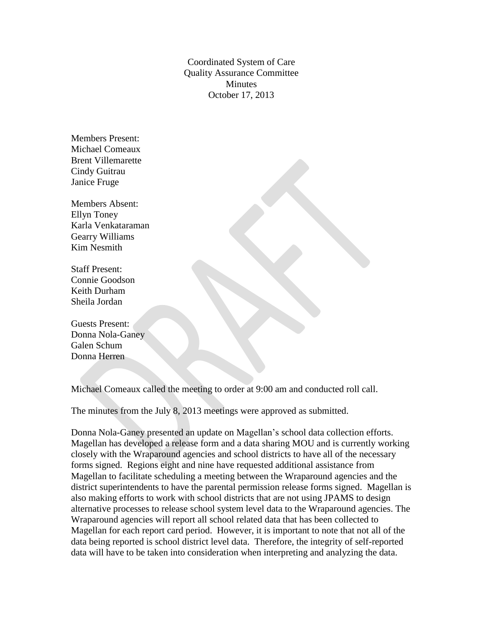Coordinated System of Care Quality Assurance Committee **Minutes** October 17, 2013

Members Present: Michael Comeaux Brent Villemarette Cindy Guitrau Janice Fruge

Members Absent: Ellyn Toney Karla Venkataraman Gearry Williams Kim Nesmith

Staff Present: Connie Goodson Keith Durham Sheila Jordan

Guests Present: Donna Nola-Ganey Galen Schum Donna Herren

Michael Comeaux called the meeting to order at 9:00 am and conducted roll call.

The minutes from the July 8, 2013 meetings were approved as submitted.

Donna Nola-Ganey presented an update on Magellan's school data collection efforts. Magellan has developed a release form and a data sharing MOU and is currently working closely with the Wraparound agencies and school districts to have all of the necessary forms signed. Regions eight and nine have requested additional assistance from Magellan to facilitate scheduling a meeting between the Wraparound agencies and the district superintendents to have the parental permission release forms signed. Magellan is also making efforts to work with school districts that are not using JPAMS to design alternative processes to release school system level data to the Wraparound agencies. The Wraparound agencies will report all school related data that has been collected to Magellan for each report card period. However, it is important to note that not all of the data being reported is school district level data. Therefore, the integrity of self-reported data will have to be taken into consideration when interpreting and analyzing the data.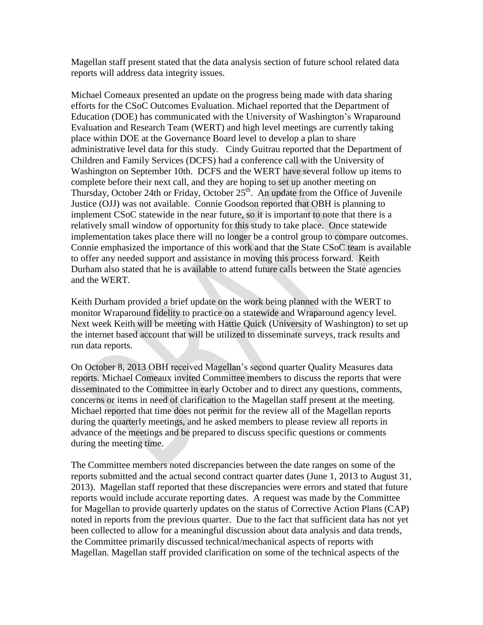Magellan staff present stated that the data analysis section of future school related data reports will address data integrity issues.

Michael Comeaux presented an update on the progress being made with data sharing efforts for the CSoC Outcomes Evaluation. Michael reported that the Department of Education (DOE) has communicated with the University of Washington's Wraparound Evaluation and Research Team (WERT) and high level meetings are currently taking place within DOE at the Governance Board level to develop a plan to share administrative level data for this study. Cindy Guitrau reported that the Department of Children and Family Services (DCFS) had a conference call with the University of Washington on September 10th. DCFS and the WERT have several follow up items to complete before their next call, and they are hoping to set up another meeting on Thursday, October 24th or Friday, October  $25<sup>th</sup>$ . An update from the Office of Juvenile Justice (OJJ) was not available. Connie Goodson reported that OBH is planning to implement CSoC statewide in the near future, so it is important to note that there is a relatively small window of opportunity for this study to take place. Once statewide implementation takes place there will no longer be a control group to compare outcomes. Connie emphasized the importance of this work and that the State CSoC team is available to offer any needed support and assistance in moving this process forward. Keith Durham also stated that he is available to attend future calls between the State agencies and the WERT.

Keith Durham provided a brief update on the work being planned with the WERT to monitor Wraparound fidelity to practice on a statewide and Wraparound agency level. Next week Keith will be meeting with Hattie Quick (University of Washington) to set up the internet based account that will be utilized to disseminate surveys, track results and run data reports.

On October 8, 2013 OBH received Magellan's second quarter Quality Measures data reports. Michael Comeaux invited Committee members to discuss the reports that were disseminated to the Committee in early October and to direct any questions, comments, concerns or items in need of clarification to the Magellan staff present at the meeting. Michael reported that time does not permit for the review all of the Magellan reports during the quarterly meetings, and he asked members to please review all reports in advance of the meetings and be prepared to discuss specific questions or comments during the meeting time.

The Committee members noted discrepancies between the date ranges on some of the reports submitted and the actual second contract quarter dates (June 1, 2013 to August 31, 2013). Magellan staff reported that these discrepancies were errors and stated that future reports would include accurate reporting dates. A request was made by the Committee for Magellan to provide quarterly updates on the status of Corrective Action Plans (CAP) noted in reports from the previous quarter. Due to the fact that sufficient data has not yet been collected to allow for a meaningful discussion about data analysis and data trends, the Committee primarily discussed technical/mechanical aspects of reports with Magellan. Magellan staff provided clarification on some of the technical aspects of the